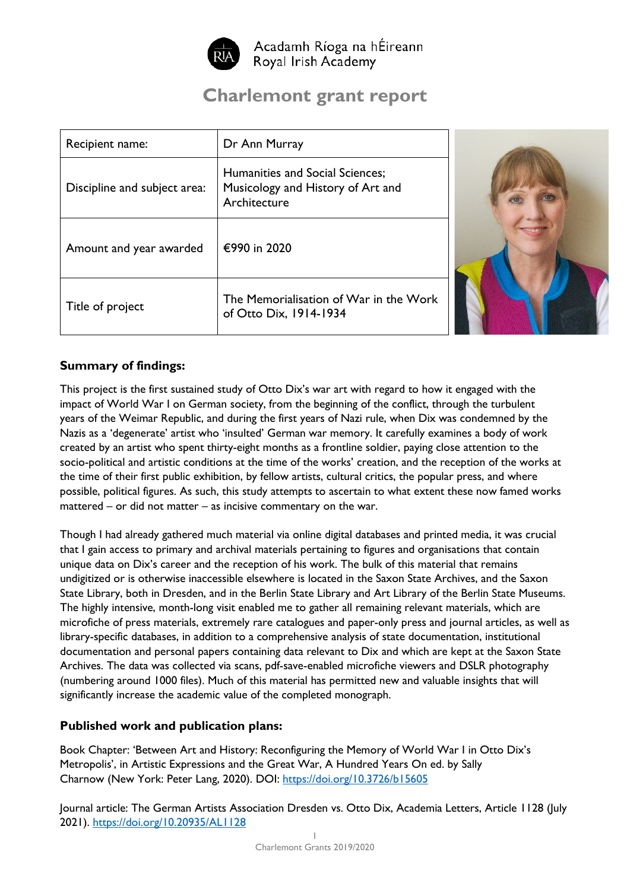

Acadamh Ríoga na hÉireann Royal Irish Academy

# **Charlemont grant report**

| Recipient name:              | Dr Ann Murray                                                                        |
|------------------------------|--------------------------------------------------------------------------------------|
| Discipline and subject area: | Humanities and Social Sciences;<br>Musicology and History of Art and<br>Architecture |
| Amount and year awarded      | €990 in 2020                                                                         |
| Title of project             | The Memorialisation of War in the Work<br>of Otto Dix, 1914-1934                     |



### **Summary of findings:**

This project is the first sustained study of Otto Dix's war art with regard to how it engaged with the impact of World War I on German society, from the beginning of the conflict, through the turbulent years of the Weimar Republic, and during the first years of Nazi rule, when Dix was condemned by the Nazis as a 'degenerate' artist who 'insulted' German war memory. It carefully examines a body of work created by an artist who spent thirty-eight months as a frontline soldier, paying close attention to the socio-political and artistic conditions at the time of the works' creation, and the reception of the works at the time of their first public exhibition, by fellow artists, cultural critics, the popular press, and where possible, political figures. As such, this study attempts to ascertain to what extent these now famed works mattered – or did not matter – as incisive commentary on the war.

Though I had already gathered much material via online digital databases and printed media, it was crucial that I gain access to primary and archival materials pertaining to figures and organisations that contain unique data on Dix's career and the reception of his work. The bulk of this material that remains undigitized or is otherwise inaccessible elsewhere is located in the Saxon State Archives, and the Saxon State Library, both in Dresden, and in the Berlin State Library and Art Library of the Berlin State Museums. The highly intensive, month-long visit enabled me to gather all remaining relevant materials, which are microfiche of press materials, extremely rare catalogues and paper-only press and journal articles, as well as library-specific databases, in addition to a comprehensive analysis of state documentation, institutional documentation and personal papers containing data relevant to Dix and which are kept at the Saxon State Archives. The data was collected via scans, pdf-save-enabled microfiche viewers and DSLR photography (numbering around 1000 files). Much of this material has permitted new and valuable insights that will significantly increase the academic value of the completed monograph.

### **Published work and publication plans:**

Book Chapter: 'Between Art and History: Reconfiguring the Memory of World War I in Otto Dix's Metropolis', in Artistic Expressions and the Great War, A Hundred Years On ed. by Sally Charnow (New York: Peter Lang, 2020). DOI:<https://doi.org/10.3726/b15605>

Journal article: The German Artists Association Dresden vs. Otto Dix, Academia Letters, Article 1128 (July 2021). <https://doi.org/10.20935/AL1128>